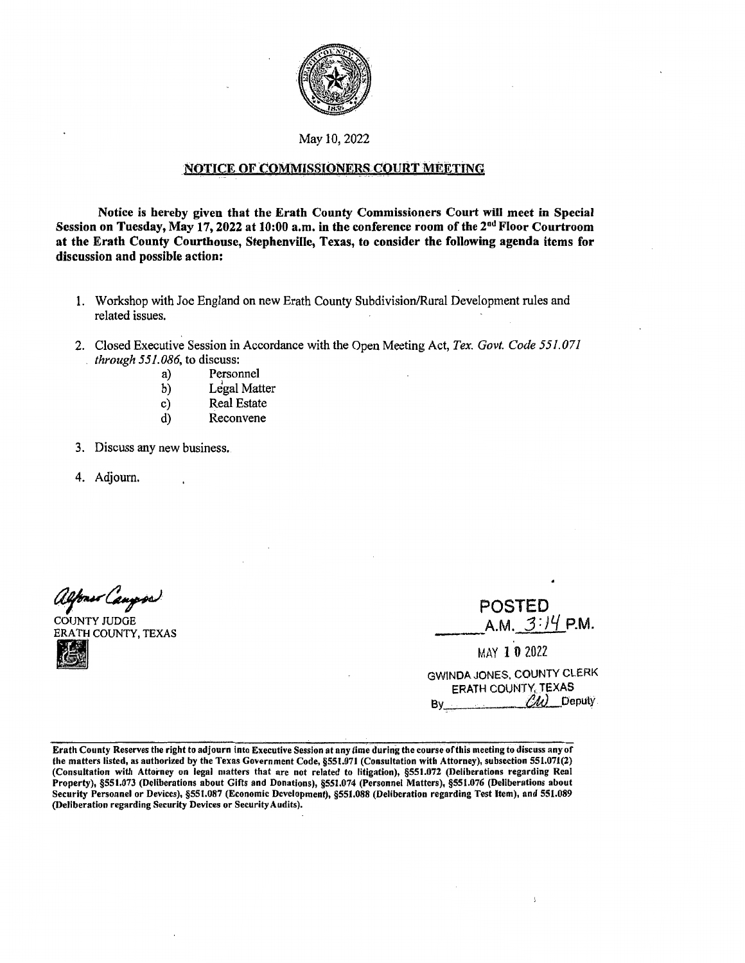

May 10, 2022

## NOTICE OF COMMISSIONERS COURT MEETING

**Notice is hereby given that the Erath County Commissioners Court will meet in Special Session on Tuesday, May 17, 2022 at 10:00 a.m. in the conference room of the** 2nd **Floor Courtroom at the Erath County Courthouse, Stephenville, Texas, to consider the following agenda items for discussion and possible action:** 

- 1. Workshop with Joe England on new Erath County Subdivision/Rural Development rules and related issues.
- 2. Closed Executive Session in Accordance with the Open Meeting Act, *Tex. Govt. Code 551. 071 through 551.086,* to discuss:
	- a) Personnel
	- b) Legal Matter
	- c) Real Estate
	- d) Reconvene
- 3. Discuss any new business.
- 4. Adjourn.

alfons Caugos

COUNTY JUDGE ERATH COUNTY, TEXAS

| <b>POSTED</b>    |  |
|------------------|--|
| A.M. $3:14$ P.M. |  |

A.M. *3: }'-/* P.M. ----MAY 1 0 <sup>2022</sup>

| GWINDA JONES, COUNTY CLERK  |  |
|-----------------------------|--|
| ERATH COUNTY, TEXAS         |  |
| $\mathcal{U}$ Deputy<br>Bv. |  |

Erath County Reserves the right to adjourn into Executive Session at any time during the course of this meeting to discuss any of the matters listed, as authorized by the Texas Government Code, §551.071 (Consultation with Attorney), subsection 551.071(2) (Consultation with Attorney on legal matters that are not related to litigation), §551.072 (Deliberations regarding Real Property), §551.073 (Deliberations about Gifts and Donations), §551.074 (Personnel Matters), §551.076 (Deliberations about Security Personnel or Devices), §551.087 (Economic Development), §551.088 (Deliberation regarding Test Item), and 551.089 (Deliberation regarding Security Devices or Security Audits).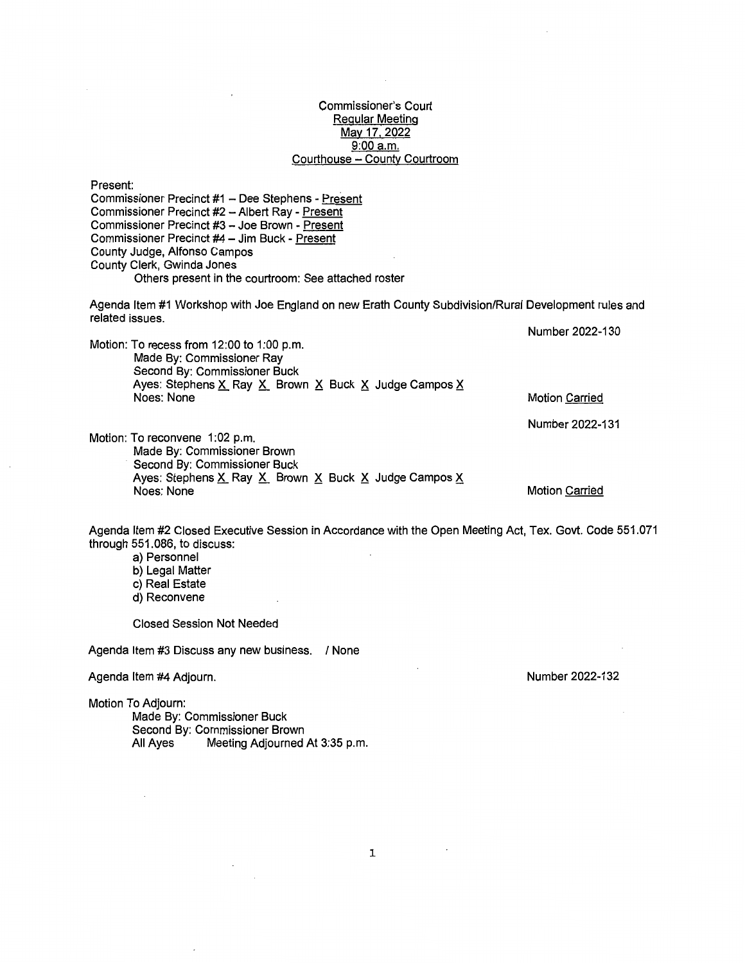#### Commissioner's Court Regular Meeting May 17, 2022 9:00 a.m. Courthouse - County Courtroom

Present: Commissioner Precinct #1 - Dee Stephens - Present Commissioner Precinct #2 - Albert Ray - Present Commissioner Precinct #3 - Joe Brown - Present Commissioner Precinct #4 - Jim Buck - Present County Judge, Alfonso Campos County Clerk, Gwinda Jones Others present in the courtroom: See attached roster Agenda Item #1 Workshop with Joe England on new Erath County Subdivision/Rural Development rules and related issues. Motion: To recess from 12:00 to 1:00 p.m. Made By: Commissioner Ray Second By: Commissioner Buck Ayes: Stephens  $X$  Ray  $X$  Brown  $X$  Buck  $X$  Judge Campos  $X$ Noes: None Motion: To reconvene 1:02 p.m. Made By: Commissioner Brown Second By: Commissioner Buck Ayes: Stephens  $X$  Ray  $X$  Brown  $X$  Buck  $X$  Judge Campos  $X$ Noes: None Number 2022-130 Motion Carried Number 2022-131 Motion Carried Agenda Item #2 Closed Executive Session in Accordance with the Open Meeting Act, Tex. Govt. Code 551.071 through 551.086, to discuss: a) Personnel b) Legal Matter c) Real Estate d) Reconvene Closed Session Not Needed Agenda Item #3 Discuss any new business. / None Agenda Item #4 Adjourn. Motion To Adjourn: Number 2022-132

Made By: Commissioner Buck Second By: Commissioner Brown<br>All Ayes Meeting Adjourned Meeting Adjourned At 3:35 p.m.

1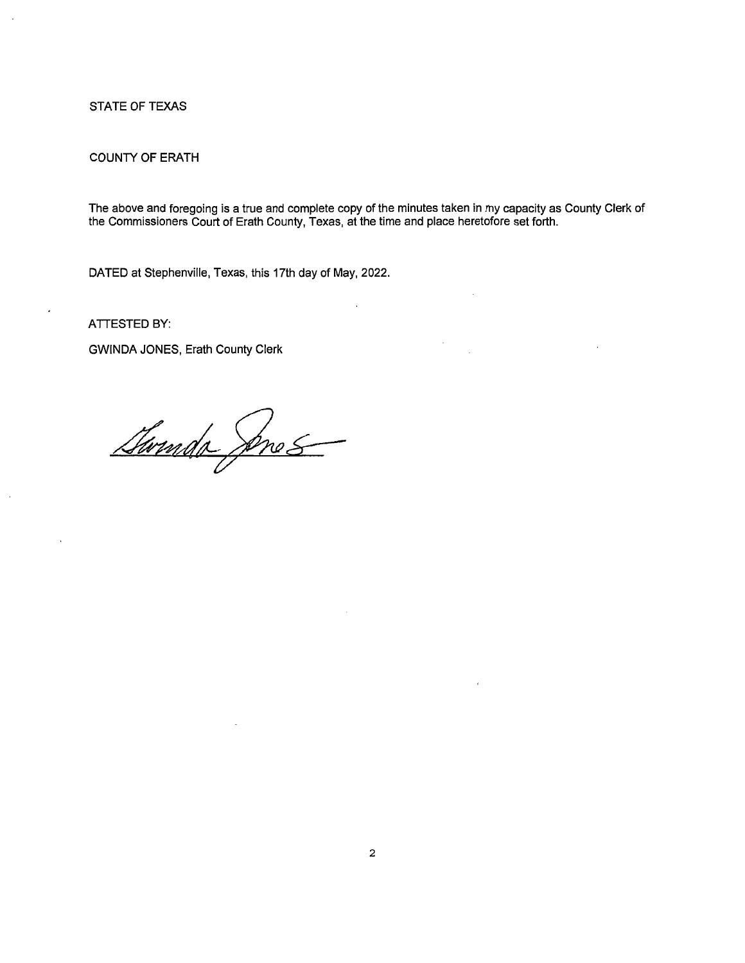## STATE OF TEXAS

## COUNTY OF ERATH

The above and foregoing is a true and complete copy of the minutes taken in my capacity as County Clerk of the Commissioners Court of Erath County, Texas, at the time and place heretofore set forth.

DATED at Stephenville, Texas, this 17th day of May, 2022.

**ATTESTED BY:** 

GWINDA JONES, Erath County Clerk

Swinds Anes